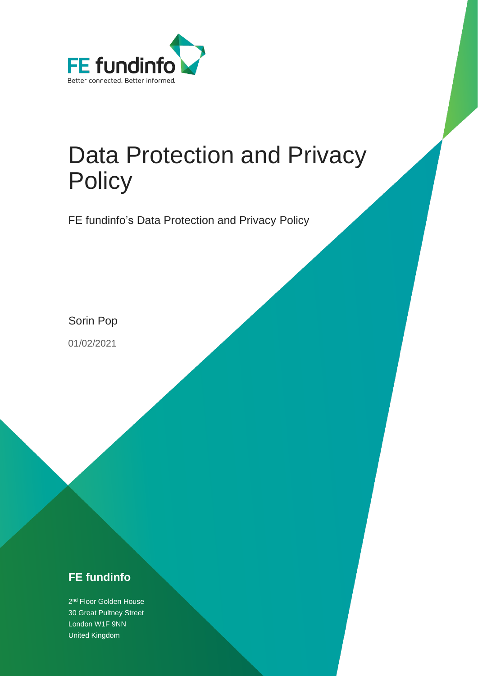

# Data Protection and Privacy **Policy**

FE fundinfo's Data Protection and Privacy Policy

Sorin Pop

01/02/2021

### **FE fundinfo**

2<sup>nd</sup> Floor Golden House 30 Great Pultney Street London W1F 9NN United Kingdom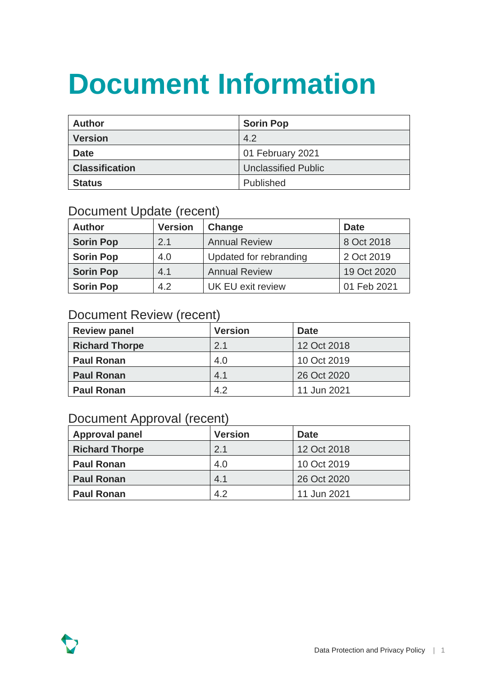# **Document Information**

| <b>Author</b>         | <b>Sorin Pop</b>           |
|-----------------------|----------------------------|
| <b>Version</b>        | 4.2                        |
| <b>Date</b>           | 01 February 2021           |
| <b>Classification</b> | <b>Unclassified Public</b> |
| <b>Status</b>         | Published                  |

### Document Update (recent)

| <b>Author</b>    | <b>Version</b> | Change                   | <b>Date</b> |
|------------------|----------------|--------------------------|-------------|
| <b>Sorin Pop</b> | 2.1            | <b>Annual Review</b>     | 8 Oct 2018  |
| <b>Sorin Pop</b> | 4.0            | Updated for rebranding   | 2 Oct 2019  |
| <b>Sorin Pop</b> | 4.1            | <b>Annual Review</b>     | 19 Oct 2020 |
| <b>Sorin Pop</b> | 4.2            | <b>UK EU exit review</b> | 01 Feb 2021 |

### Document Review (recent)

| <b>Review panel</b>   | <b>Version</b> | <b>Date</b> |
|-----------------------|----------------|-------------|
| <b>Richard Thorpe</b> | 2.1            | 12 Oct 2018 |
| <b>Paul Ronan</b>     | 4.0            | 10 Oct 2019 |
| <b>Paul Ronan</b>     | 4.1            | 26 Oct 2020 |
| <b>Paul Ronan</b>     | 4.2            | 11 Jun 2021 |

#### Document Approval (recent)

| <b>Approval panel</b> | <b>Version</b> | <b>Date</b> |
|-----------------------|----------------|-------------|
| <b>Richard Thorpe</b> | 2.1            | 12 Oct 2018 |
| <b>Paul Ronan</b>     | 4.0            | 10 Oct 2019 |
| <b>Paul Ronan</b>     | 4.1            | 26 Oct 2020 |
| <b>Paul Ronan</b>     | 4.2            | 11 Jun 2021 |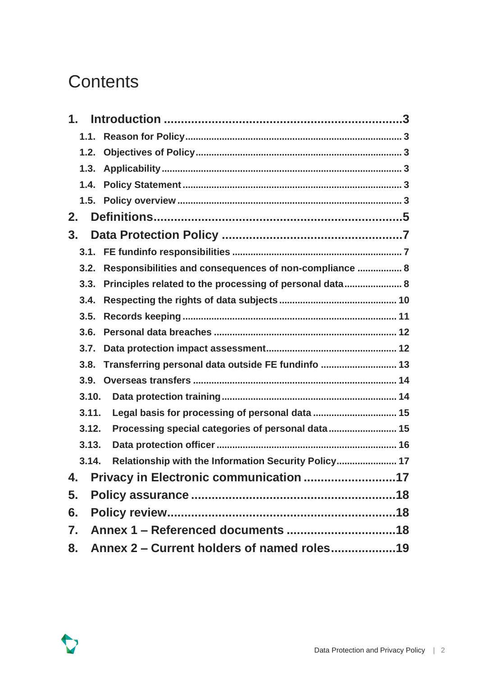### **Contents**

| 1.3.  |                                                         |  |
|-------|---------------------------------------------------------|--|
|       |                                                         |  |
|       |                                                         |  |
| 2.    |                                                         |  |
| 3.    |                                                         |  |
|       |                                                         |  |
| 3.2.  | Responsibilities and consequences of non-compliance  8  |  |
| 3.3.  | Principles related to the processing of personal data 8 |  |
| 3.4.  |                                                         |  |
| 3.5.  |                                                         |  |
| 3.6.  |                                                         |  |
|       |                                                         |  |
| 3.8.  | Transferring personal data outside FE fundinfo  13      |  |
| 3.9.  |                                                         |  |
| 3.10. |                                                         |  |
| 3.11. | Legal basis for processing of personal data  15         |  |
| 3.12. | Processing special categories of personal data 15       |  |
| 3.13. |                                                         |  |
| 3.14. | Relationship with the Information Security Policy 17    |  |
| 4.    | Privacy in Electronic communication 17                  |  |
| 5.    |                                                         |  |
| 6.    |                                                         |  |
| 7.    |                                                         |  |
| 8.    |                                                         |  |

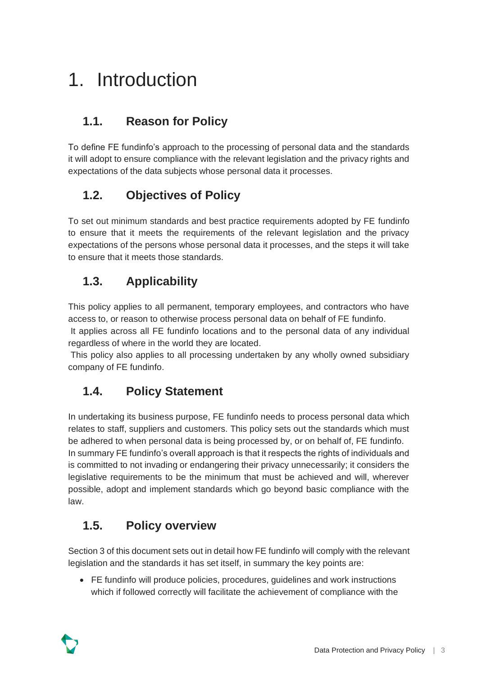# <span id="page-3-0"></span>1. Introduction

### <span id="page-3-1"></span>**1.1. Reason for Policy**

To define FE fundinfo's approach to the processing of personal data and the standards it will adopt to ensure compliance with the relevant legislation and the privacy rights and expectations of the data subjects whose personal data it processes.

#### <span id="page-3-2"></span>**1.2. Objectives of Policy**

To set out minimum standards and best practice requirements adopted by FE fundinfo to ensure that it meets the requirements of the relevant legislation and the privacy expectations of the persons whose personal data it processes, and the steps it will take to ensure that it meets those standards.

#### <span id="page-3-3"></span>**1.3. Applicability**

This policy applies to all permanent, temporary employees, and contractors who have access to, or reason to otherwise process personal data on behalf of FE fundinfo.

It applies across all FE fundinfo locations and to the personal data of any individual regardless of where in the world they are located.

This policy also applies to all processing undertaken by any wholly owned subsidiary company of FE fundinfo.

#### <span id="page-3-4"></span>**1.4. Policy Statement**

In undertaking its business purpose, FE fundinfo needs to process personal data which relates to staff, suppliers and customers. This policy sets out the standards which must be adhered to when personal data is being processed by, or on behalf of, FE fundinfo. In summary FE fundinfo's overall approach is that it respects the rights of individuals and is committed to not invading or endangering their privacy unnecessarily; it considers the legislative requirements to be the minimum that must be achieved and will, wherever possible, adopt and implement standards which go beyond basic compliance with the law.

#### <span id="page-3-5"></span>**1.5. Policy overview**

Section 3 of this document sets out in detail how FE fundinfo will comply with the relevant legislation and the standards it has set itself, in summary the key points are:

• FE fundinfo will produce policies, procedures, guidelines and work instructions which if followed correctly will facilitate the achievement of compliance with the

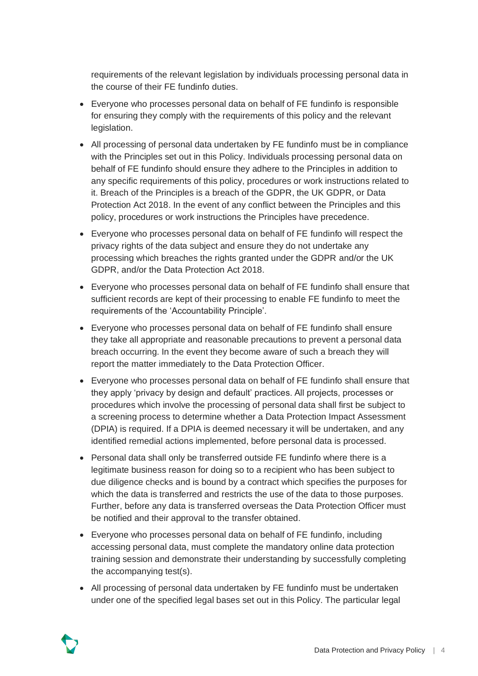requirements of the relevant legislation by individuals processing personal data in the course of their FE fundinfo duties.

- Everyone who processes personal data on behalf of FE fundinfo is responsible for ensuring they comply with the requirements of this policy and the relevant legislation.
- All processing of personal data undertaken by FE fundinfo must be in compliance with the Principles set out in this Policy. Individuals processing personal data on behalf of FE fundinfo should ensure they adhere to the Principles in addition to any specific requirements of this policy, procedures or work instructions related to it. Breach of the Principles is a breach of the GDPR, the UK GDPR, or Data Protection Act 2018. In the event of any conflict between the Principles and this policy, procedures or work instructions the Principles have precedence.
- Everyone who processes personal data on behalf of FE fundinfo will respect the privacy rights of the data subject and ensure they do not undertake any processing which breaches the rights granted under the GDPR and/or the UK GDPR, and/or the Data Protection Act 2018.
- Everyone who processes personal data on behalf of FE fundinfo shall ensure that sufficient records are kept of their processing to enable FE fundinfo to meet the requirements of the 'Accountability Principle'.
- Everyone who processes personal data on behalf of FE fundinfo shall ensure they take all appropriate and reasonable precautions to prevent a personal data breach occurring. In the event they become aware of such a breach they will report the matter immediately to the Data Protection Officer.
- Everyone who processes personal data on behalf of FE fundinfo shall ensure that they apply 'privacy by design and default' practices. All projects, processes or procedures which involve the processing of personal data shall first be subject to a screening process to determine whether a Data Protection Impact Assessment (DPIA) is required. If a DPIA is deemed necessary it will be undertaken, and any identified remedial actions implemented, before personal data is processed.
- Personal data shall only be transferred outside FE fundinfo where there is a legitimate business reason for doing so to a recipient who has been subject to due diligence checks and is bound by a contract which specifies the purposes for which the data is transferred and restricts the use of the data to those purposes. Further, before any data is transferred overseas the Data Protection Officer must be notified and their approval to the transfer obtained.
- Everyone who processes personal data on behalf of FE fundinfo, including accessing personal data, must complete the mandatory online data protection training session and demonstrate their understanding by successfully completing the accompanying test(s).
- All processing of personal data undertaken by FE fundinfo must be undertaken under one of the specified legal bases set out in this Policy. The particular legal

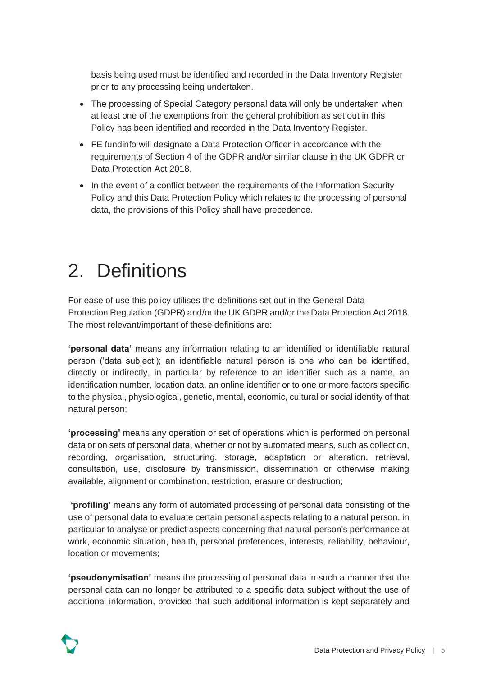basis being used must be identified and recorded in the Data Inventory Register prior to any processing being undertaken.

- The processing of Special Category personal data will only be undertaken when at least one of the exemptions from the general prohibition as set out in this Policy has been identified and recorded in the Data Inventory Register.
- FE fundinfo will designate a Data Protection Officer in accordance with the requirements of Section 4 of the GDPR and/or similar clause in the UK GDPR or Data Protection Act 2018.
- In the event of a conflict between the requirements of the Information Security Policy and this Data Protection Policy which relates to the processing of personal data, the provisions of this Policy shall have precedence.

# <span id="page-5-0"></span>2. Definitions

For ease of use this policy utilises the definitions set out in the General Data Protection Regulation (GDPR) and/or the UK GDPR and/or the Data Protection Act 2018. The most relevant/important of these definitions are:

**'personal data'** means any information relating to an identified or identifiable natural person ('data subject'); an identifiable natural person is one who can be identified, directly or indirectly, in particular by reference to an identifier such as a name, an identification number, location data, an online identifier or to one or more factors specific to the physical, physiological, genetic, mental, economic, cultural or social identity of that natural person;

**'processing'** means any operation or set of operations which is performed on personal data or on sets of personal data, whether or not by automated means, such as collection, recording, organisation, structuring, storage, adaptation or alteration, retrieval, consultation, use, disclosure by transmission, dissemination or otherwise making available, alignment or combination, restriction, erasure or destruction;

**'profiling'** means any form of automated processing of personal data consisting of the use of personal data to evaluate certain personal aspects relating to a natural person, in particular to analyse or predict aspects concerning that natural person's performance at work, economic situation, health, personal preferences, interests, reliability, behaviour, location or movements;

**'pseudonymisation'** means the processing of personal data in such a manner that the personal data can no longer be attributed to a specific data subject without the use of additional information, provided that such additional information is kept separately and

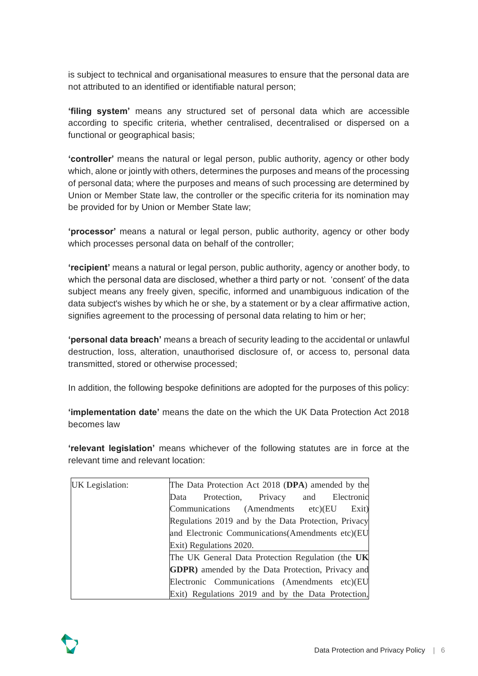is subject to technical and organisational measures to ensure that the personal data are not attributed to an identified or identifiable natural person;

**'filing system'** means any structured set of personal data which are accessible according to specific criteria, whether centralised, decentralised or dispersed on a functional or geographical basis;

**'controller'** means the natural or legal person, public authority, agency or other body which, alone or jointly with others, determines the purposes and means of the processing of personal data; where the purposes and means of such processing are determined by Union or Member State law, the controller or the specific criteria for its nomination may be provided for by Union or Member State law;

**'processor'** means a natural or legal person, public authority, agency or other body which processes personal data on behalf of the controller;

**'recipient'** means a natural or legal person, public authority, agency or another body, to which the personal data are disclosed, whether a third party or not. 'consent' of the data subject means any freely given, specific, informed and unambiguous indication of the data subject's wishes by which he or she, by a statement or by a clear affirmative action, signifies agreement to the processing of personal data relating to him or her;

**'personal data breach'** means a breach of security leading to the accidental or unlawful destruction, loss, alteration, unauthorised disclosure of, or access to, personal data transmitted, stored or otherwise processed;

In addition, the following bespoke definitions are adopted for the purposes of this policy:

**'implementation date'** means the date on the which the UK Data Protection Act 2018 becomes law

**'relevant legislation'** means whichever of the following statutes are in force at the relevant time and relevant location:

| UK Legislation: | The Data Protection Act 2018 (DPA) amended by the         |
|-----------------|-----------------------------------------------------------|
|                 | and Electronic<br>Protection, Privacy<br>Data             |
|                 | Communications (Amendments etc)(EU<br>Exit)               |
|                 | Regulations 2019 and by the Data Protection, Privacy      |
|                 | and Electronic Communications (Amendments etc) (EU        |
|                 | Exit) Regulations 2020.                                   |
|                 | The UK General Data Protection Regulation (the UK         |
|                 | <b>GDPR</b> ) amended by the Data Protection, Privacy and |
|                 | Electronic Communications (Amendments etc)(EU             |
|                 | Exit) Regulations 2019 and by the Data Protection,        |

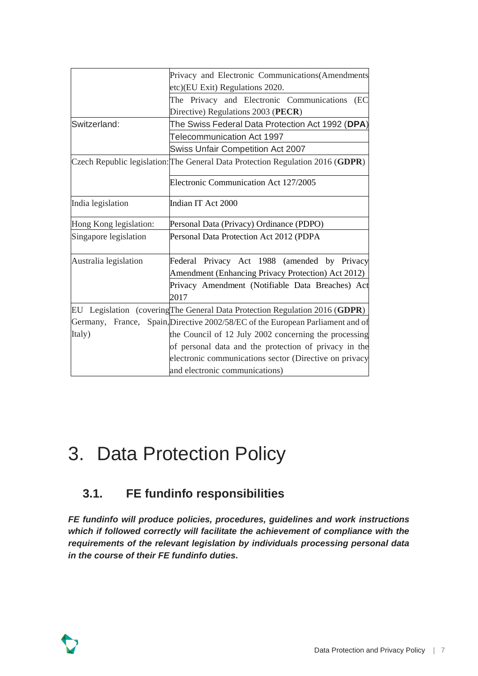|                        | Privacy and Electronic Communications(Amendments                               |  |  |
|------------------------|--------------------------------------------------------------------------------|--|--|
|                        | etc)(EU Exit) Regulations 2020.                                                |  |  |
|                        | The Privacy and Electronic Communications<br>(EC                               |  |  |
|                        | Directive) Regulations 2003 (PECR)                                             |  |  |
| Switzerland:           | The Swiss Federal Data Protection Act 1992 (DPA)                               |  |  |
|                        | <b>Telecommunication Act 1997</b>                                              |  |  |
|                        | <b>Swiss Unfair Competition Act 2007</b>                                       |  |  |
|                        | Czech Republic legislation: The General Data Protection Regulation 2016 (GDPR) |  |  |
|                        | Electronic Communication Act 127/2005                                          |  |  |
| India legislation      | Indian IT Act 2000                                                             |  |  |
| Hong Kong legislation: | Personal Data (Privacy) Ordinance (PDPO)                                       |  |  |
| Singapore legislation  | Personal Data Protection Act 2012 (PDPA                                        |  |  |
| Australia legislation  | Federal Privacy Act 1988 (amended by Privacy                                   |  |  |
|                        | Amendment (Enhancing Privacy Protection) Act 2012)                             |  |  |
|                        | Privacy Amendment (Notifiable Data Breaches) Act<br>2017                       |  |  |
|                        | EU Legislation (covering The General Data Protection Regulation 2016 (GDPR)    |  |  |
|                        | Germany, France, Spain, Directive 2002/58/EC of the European Parliament and of |  |  |
| Italy)                 | the Council of 12 July 2002 concerning the processing                          |  |  |
|                        | of personal data and the protection of privacy in the                          |  |  |
|                        | electronic communications sector (Directive on privacy                         |  |  |
|                        | and electronic communications)                                                 |  |  |

### <span id="page-7-0"></span>3. Data Protection Policy

### <span id="page-7-1"></span>**3.1. FE fundinfo responsibilities**

*FE fundinfo will produce policies, procedures, guidelines and work instructions which if followed correctly will facilitate the achievement of compliance with the requirements of the relevant legislation by individuals processing personal data in the course of their FE fundinfo duties.* 

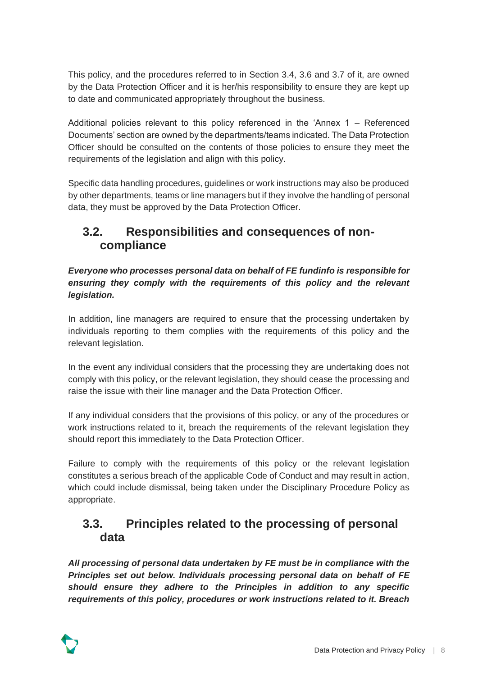This policy, and the procedures referred to in Section 3.4, 3.6 and 3.7 of it, are owned by the Data Protection Officer and it is her/his responsibility to ensure they are kept up to date and communicated appropriately throughout the business.

Additional policies relevant to this policy referenced in the 'Annex 1 – Referenced Documents' section are owned by the departments/teams indicated. The Data Protection Officer should be consulted on the contents of those policies to ensure they meet the requirements of the legislation and align with this policy.

Specific data handling procedures, guidelines or work instructions may also be produced by other departments, teams or line managers but if they involve the handling of personal data, they must be approved by the Data Protection Officer.

#### <span id="page-8-0"></span>**3.2. Responsibilities and consequences of noncompliance**

*Everyone who processes personal data on behalf of FE fundinfo is responsible for*  ensuring they comply with the requirements of this policy and the relevant *legislation.* 

In addition, line managers are required to ensure that the processing undertaken by individuals reporting to them complies with the requirements of this policy and the relevant legislation.

In the event any individual considers that the processing they are undertaking does not comply with this policy, or the relevant legislation, they should cease the processing and raise the issue with their line manager and the Data Protection Officer.

If any individual considers that the provisions of this policy, or any of the procedures or work instructions related to it, breach the requirements of the relevant legislation they should report this immediately to the Data Protection Officer.

Failure to comply with the requirements of this policy or the relevant legislation constitutes a serious breach of the applicable Code of Conduct and may result in action, which could include dismissal, being taken under the Disciplinary Procedure Policy as appropriate.

#### <span id="page-8-1"></span>**3.3. Principles related to the processing of personal data**

*All processing of personal data undertaken by FE must be in compliance with the Principles set out below. Individuals processing personal data on behalf of FE should ensure they adhere to the Principles in addition to any specific requirements of this policy, procedures or work instructions related to it. Breach* 

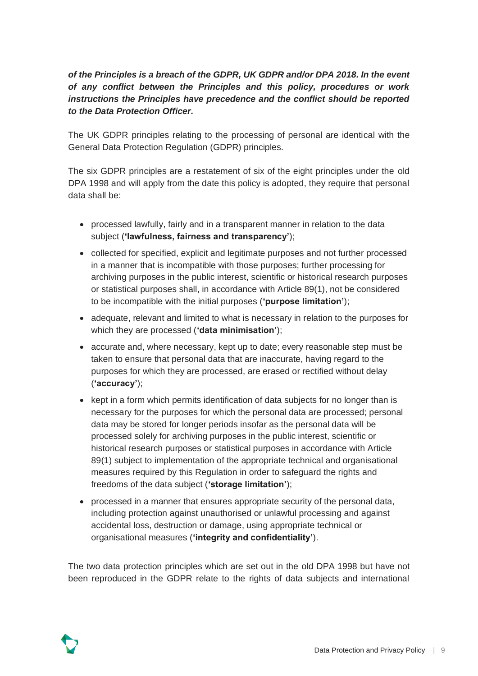#### *of the Principles is a breach of the GDPR, UK GDPR and/or DPA 2018. In the event of any conflict between the Principles and this policy, procedures or work instructions the Principles have precedence and the conflict should be reported to the Data Protection Officer.*

The UK GDPR principles relating to the processing of personal are identical with the General Data Protection Regulation (GDPR) principles.

The six GDPR principles are a restatement of six of the eight principles under the old DPA 1998 and will apply from the date this policy is adopted, they require that personal data shall be:

- processed lawfully, fairly and in a transparent manner in relation to the data subject (**'lawfulness, fairness and transparency'**);
- collected for specified, explicit and legitimate purposes and not further processed in a manner that is incompatible with those purposes; further processing for archiving purposes in the public interest, scientific or historical research purposes or statistical purposes shall, in accordance with Article 89(1), not be considered to be incompatible with the initial purposes (**'purpose limitation'**);
- adequate, relevant and limited to what is necessary in relation to the purposes for which they are processed (**'data minimisation'**);
- accurate and, where necessary, kept up to date; every reasonable step must be taken to ensure that personal data that are inaccurate, having regard to the purposes for which they are processed, are erased or rectified without delay (**'accuracy'**);
- kept in a form which permits identification of data subjects for no longer than is necessary for the purposes for which the personal data are processed; personal data may be stored for longer periods insofar as the personal data will be processed solely for archiving purposes in the public interest, scientific or historical research purposes or statistical purposes in accordance with Article 89(1) subject to implementation of the appropriate technical and organisational measures required by this Regulation in order to safeguard the rights and freedoms of the data subject (**'storage limitation'**);
- processed in a manner that ensures appropriate security of the personal data, including protection against unauthorised or unlawful processing and against accidental loss, destruction or damage, using appropriate technical or organisational measures (**'integrity and confidentiality'**).

The two data protection principles which are set out in the old DPA 1998 but have not been reproduced in the GDPR relate to the rights of data subjects and international

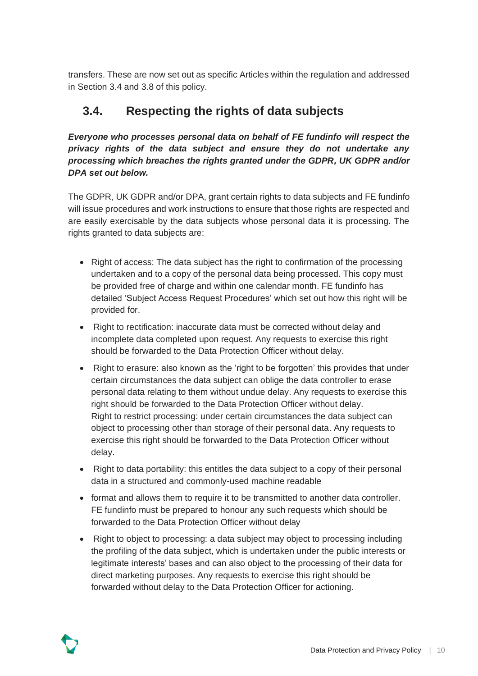transfers. These are now set out as specific Articles within the regulation and addressed in Section 3.4 and 3.8 of this policy.

#### <span id="page-10-0"></span>**3.4. Respecting the rights of data subjects**

*Everyone who processes personal data on behalf of FE fundinfo will respect the privacy rights of the data subject and ensure they do not undertake any processing which breaches the rights granted under the GDPR, UK GDPR and/or DPA set out below.*

The GDPR, UK GDPR and/or DPA, grant certain rights to data subjects and FE fundinfo will issue procedures and work instructions to ensure that those rights are respected and are easily exercisable by the data subjects whose personal data it is processing. The rights granted to data subjects are:

- Right of access: The data subject has the right to confirmation of the processing undertaken and to a copy of the personal data being processed. This copy must be provided free of charge and within one calendar month. FE fundinfo has detailed 'Subject Access Request Procedures' which set out how this right will be provided for.
- Right to rectification: inaccurate data must be corrected without delay and incomplete data completed upon request. Any requests to exercise this right should be forwarded to the Data Protection Officer without delay.
- Right to erasure: also known as the 'right to be forgotten' this provides that under certain circumstances the data subject can oblige the data controller to erase personal data relating to them without undue delay. Any requests to exercise this right should be forwarded to the Data Protection Officer without delay. Right to restrict processing: under certain circumstances the data subject can object to processing other than storage of their personal data. Any requests to exercise this right should be forwarded to the Data Protection Officer without delay.
- Right to data portability: this entitles the data subject to a copy of their personal data in a structured and commonly-used machine readable
- format and allows them to require it to be transmitted to another data controller. FE fundinfo must be prepared to honour any such requests which should be forwarded to the Data Protection Officer without delay
- Right to object to processing: a data subject may object to processing including the profiling of the data subject, which is undertaken under the public interests or legitimate interests' bases and can also object to the processing of their data for direct marketing purposes. Any requests to exercise this right should be forwarded without delay to the Data Protection Officer for actioning.

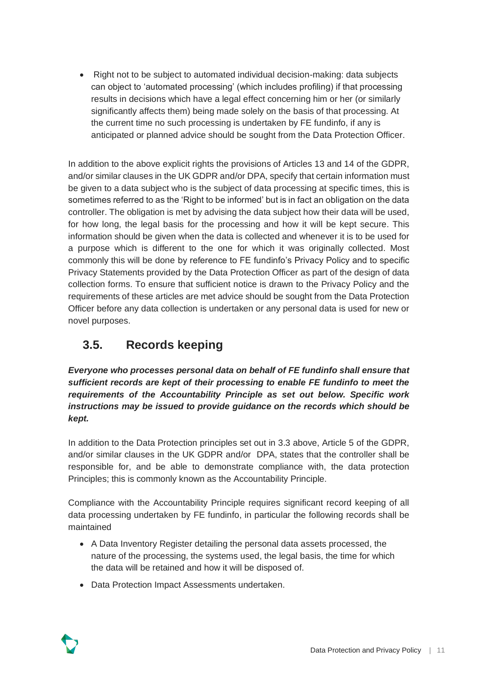• Right not to be subject to automated individual decision-making: data subjects can object to 'automated processing' (which includes profiling) if that processing results in decisions which have a legal effect concerning him or her (or similarly significantly affects them) being made solely on the basis of that processing. At the current time no such processing is undertaken by FE fundinfo, if any is anticipated or planned advice should be sought from the Data Protection Officer.

In addition to the above explicit rights the provisions of Articles 13 and 14 of the GDPR. and/or similar clauses in the UK GDPR and/or DPA, specify that certain information must be given to a data subject who is the subject of data processing at specific times, this is sometimes referred to as the 'Right to be informed' but is in fact an obligation on the data controller. The obligation is met by advising the data subject how their data will be used, for how long, the legal basis for the processing and how it will be kept secure. This information should be given when the data is collected and whenever it is to be used for a purpose which is different to the one for which it was originally collected. Most commonly this will be done by reference to FE fundinfo's Privacy Policy and to specific Privacy Statements provided by the Data Protection Officer as part of the design of data collection forms. To ensure that sufficient notice is drawn to the Privacy Policy and the requirements of these articles are met advice should be sought from the Data Protection Officer before any data collection is undertaken or any personal data is used for new or novel purposes.

#### <span id="page-11-0"></span>**3.5. Records keeping**

*Everyone who processes personal data on behalf of FE fundinfo shall ensure that sufficient records are kept of their processing to enable FE fundinfo to meet the requirements of the Accountability Principle as set out below. Specific work instructions may be issued to provide guidance on the records which should be kept.*

In addition to the Data Protection principles set out in 3.3 above, Article 5 of the GDPR, and/or similar clauses in the UK GDPR and/or DPA, states that the controller shall be responsible for, and be able to demonstrate compliance with, the data protection Principles; this is commonly known as the Accountability Principle.

Compliance with the Accountability Principle requires significant record keeping of all data processing undertaken by FE fundinfo, in particular the following records shall be maintained

- A Data Inventory Register detailing the personal data assets processed, the nature of the processing, the systems used, the legal basis, the time for which the data will be retained and how it will be disposed of.
- Data Protection Impact Assessments undertaken.

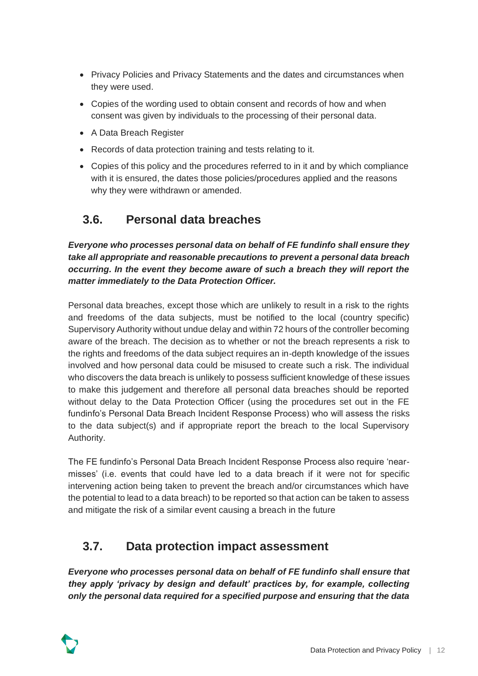- Privacy Policies and Privacy Statements and the dates and circumstances when they were used.
- Copies of the wording used to obtain consent and records of how and when consent was given by individuals to the processing of their personal data.
- A Data Breach Register
- Records of data protection training and tests relating to it.
- Copies of this policy and the procedures referred to in it and by which compliance with it is ensured, the dates those policies/procedures applied and the reasons why they were withdrawn or amended.

#### <span id="page-12-0"></span>**3.6. Personal data breaches**

*Everyone who processes personal data on behalf of FE fundinfo shall ensure they take all appropriate and reasonable precautions to prevent a personal data breach occurring. In the event they become aware of such a breach they will report the matter immediately to the Data Protection Officer.* 

Personal data breaches, except those which are unlikely to result in a risk to the rights and freedoms of the data subjects, must be notified to the local (country specific) Supervisory Authority without undue delay and within 72 hours of the controller becoming aware of the breach. The decision as to whether or not the breach represents a risk to the rights and freedoms of the data subject requires an in-depth knowledge of the issues involved and how personal data could be misused to create such a risk. The individual who discovers the data breach is unlikely to possess sufficient knowledge of these issues to make this judgement and therefore all personal data breaches should be reported without delay to the Data Protection Officer (using the procedures set out in the FE fundinfo's Personal Data Breach Incident Response Process) who will assess the risks to the data subject(s) and if appropriate report the breach to the local Supervisory Authority.

The FE fundinfo's Personal Data Breach Incident Response Process also require 'nearmisses' (i.e. events that could have led to a data breach if it were not for specific intervening action being taken to prevent the breach and/or circumstances which have the potential to lead to a data breach) to be reported so that action can be taken to assess and mitigate the risk of a similar event causing a breach in the future

#### <span id="page-12-1"></span>**3.7. Data protection impact assessment**

*Everyone who processes personal data on behalf of FE fundinfo shall ensure that they apply 'privacy by design and default' practices by, for example, collecting only the personal data required for a specified purpose and ensuring that the data* 

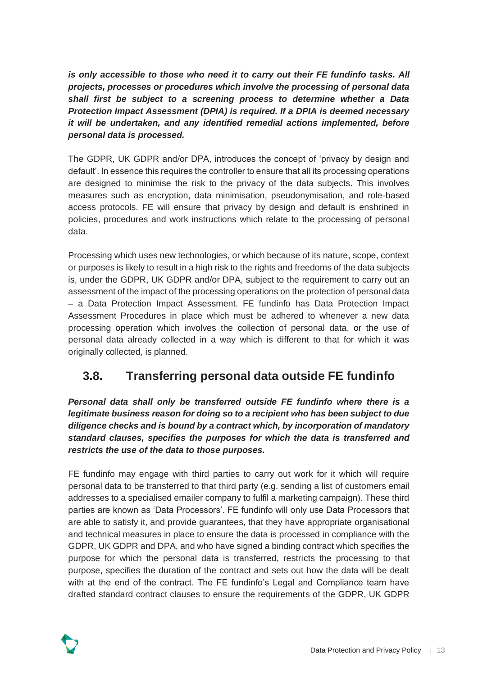*is only accessible to those who need it to carry out their FE fundinfo tasks. All projects, processes or procedures which involve the processing of personal data shall first be subject to a screening process to determine whether a Data Protection Impact Assessment (DPIA) is required. If a DPIA is deemed necessary it will be undertaken, and any identified remedial actions implemented, before personal data is processed.*

The GDPR, UK GDPR and/or DPA, introduces the concept of 'privacy by design and default'. In essence this requires the controller to ensure that all its processing operations are designed to minimise the risk to the privacy of the data subjects. This involves measures such as encryption, data minimisation, pseudonymisation, and role-based access protocols. FE will ensure that privacy by design and default is enshrined in policies, procedures and work instructions which relate to the processing of personal data.

Processing which uses new technologies, or which because of its nature, scope, context or purposes is likely to result in a high risk to the rights and freedoms of the data subjects is, under the GDPR, UK GDPR and/or DPA, subject to the requirement to carry out an assessment of the impact of the processing operations on the protection of personal data – a Data Protection Impact Assessment. FE fundinfo has Data Protection Impact Assessment Procedures in place which must be adhered to whenever a new data processing operation which involves the collection of personal data, or the use of personal data already collected in a way which is different to that for which it was originally collected, is planned.

#### <span id="page-13-0"></span>**3.8. Transferring personal data outside FE fundinfo**

*Personal data shall only be transferred outside FE fundinfo where there is a legitimate business reason for doing so to a recipient who has been subject to due diligence checks and is bound by a contract which, by incorporation of mandatory standard clauses, specifies the purposes for which the data is transferred and restricts the use of the data to those purposes.* 

FE fundinfo may engage with third parties to carry out work for it which will require personal data to be transferred to that third party (e.g. sending a list of customers email addresses to a specialised emailer company to fulfil a marketing campaign). These third parties are known as 'Data Processors'. FE fundinfo will only use Data Processors that are able to satisfy it, and provide guarantees, that they have appropriate organisational and technical measures in place to ensure the data is processed in compliance with the GDPR, UK GDPR and DPA, and who have signed a binding contract which specifies the purpose for which the personal data is transferred, restricts the processing to that purpose, specifies the duration of the contract and sets out how the data will be dealt with at the end of the contract. The FE fundinfo's Legal and Compliance team have drafted standard contract clauses to ensure the requirements of the GDPR, UK GDPR

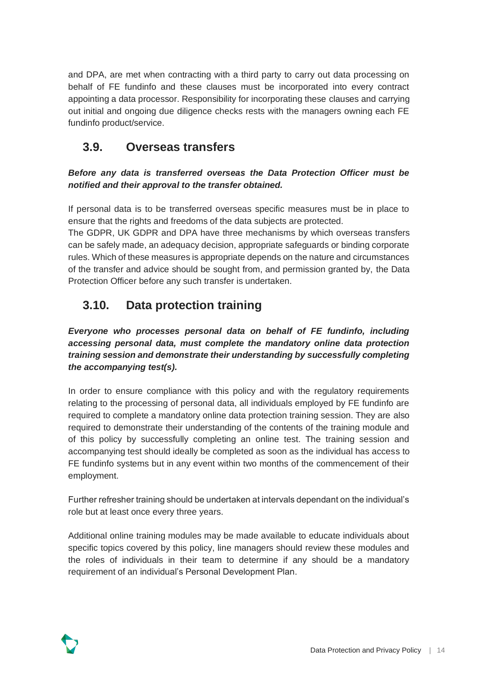and DPA, are met when contracting with a third party to carry out data processing on behalf of FE fundinfo and these clauses must be incorporated into every contract appointing a data processor. Responsibility for incorporating these clauses and carrying out initial and ongoing due diligence checks rests with the managers owning each FE fundinfo product/service.

#### <span id="page-14-0"></span>**3.9. Overseas transfers**

*Before any data is transferred overseas the Data Protection Officer must be notified and their approval to the transfer obtained.* 

If personal data is to be transferred overseas specific measures must be in place to ensure that the rights and freedoms of the data subjects are protected.

The GDPR, UK GDPR and DPA have three mechanisms by which overseas transfers can be safely made, an adequacy decision, appropriate safeguards or binding corporate rules. Which of these measures is appropriate depends on the nature and circumstances of the transfer and advice should be sought from, and permission granted by, the Data Protection Officer before any such transfer is undertaken.

#### <span id="page-14-1"></span>**3.10. Data protection training**

*Everyone who processes personal data on behalf of FE fundinfo, including accessing personal data, must complete the mandatory online data protection training session and demonstrate their understanding by successfully completing the accompanying test(s).* 

In order to ensure compliance with this policy and with the regulatory requirements relating to the processing of personal data, all individuals employed by FE fundinfo are required to complete a mandatory online data protection training session. They are also required to demonstrate their understanding of the contents of the training module and of this policy by successfully completing an online test. The training session and accompanying test should ideally be completed as soon as the individual has access to FE fundinfo systems but in any event within two months of the commencement of their employment.

Further refresher training should be undertaken at intervals dependant on the individual's role but at least once every three years.

Additional online training modules may be made available to educate individuals about specific topics covered by this policy, line managers should review these modules and the roles of individuals in their team to determine if any should be a mandatory requirement of an individual's Personal Development Plan.

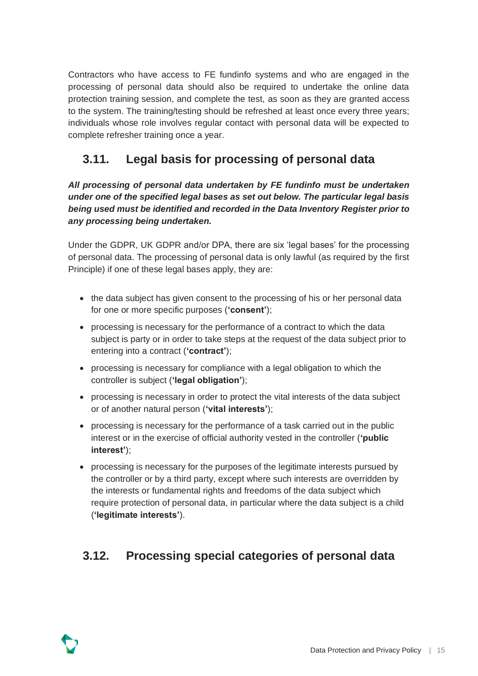Contractors who have access to FE fundinfo systems and who are engaged in the processing of personal data should also be required to undertake the online data protection training session, and complete the test, as soon as they are granted access to the system. The training/testing should be refreshed at least once every three years; individuals whose role involves regular contact with personal data will be expected to complete refresher training once a year.

#### <span id="page-15-0"></span>**3.11. Legal basis for processing of personal data**

*All processing of personal data undertaken by FE fundinfo must be undertaken under one of the specified legal bases as set out below. The particular legal basis being used must be identified and recorded in the Data Inventory Register prior to any processing being undertaken.* 

Under the GDPR, UK GDPR and/or DPA, there are six 'legal bases' for the processing of personal data. The processing of personal data is only lawful (as required by the first Principle) if one of these legal bases apply, they are:

- the data subject has given consent to the processing of his or her personal data for one or more specific purposes (**'consent'**);
- processing is necessary for the performance of a contract to which the data subject is party or in order to take steps at the request of the data subject prior to entering into a contract (**'contract'**);
- processing is necessary for compliance with a legal obligation to which the controller is subject (**'legal obligation'**);
- processing is necessary in order to protect the vital interests of the data subject or of another natural person (**'vital interests'**);
- processing is necessary for the performance of a task carried out in the public interest or in the exercise of official authority vested in the controller (**'public interest'**);
- processing is necessary for the purposes of the legitimate interests pursued by the controller or by a third party, except where such interests are overridden by the interests or fundamental rights and freedoms of the data subject which require protection of personal data, in particular where the data subject is a child (**'legitimate interests'**).

#### <span id="page-15-1"></span>**3.12. Processing special categories of personal data**

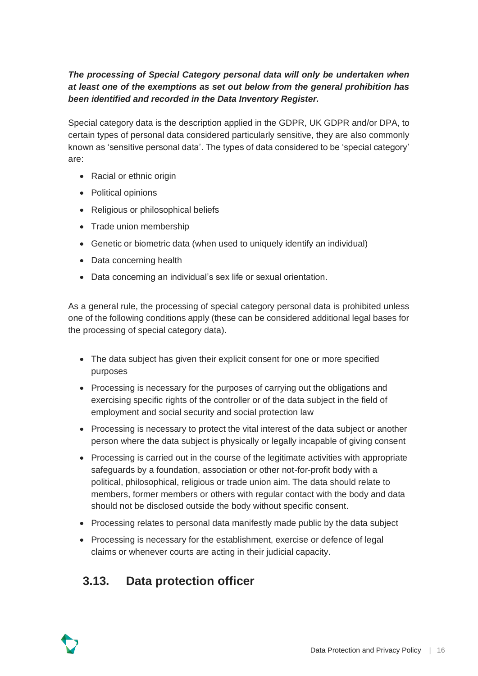#### *The processing of Special Category personal data will only be undertaken when at least one of the exemptions as set out below from the general prohibition has been identified and recorded in the Data Inventory Register.*

Special category data is the description applied in the GDPR, UK GDPR and/or DPA, to certain types of personal data considered particularly sensitive, they are also commonly known as 'sensitive personal data'. The types of data considered to be 'special category' are:

- Racial or ethnic origin
- Political opinions
- Religious or philosophical beliefs
- Trade union membership
- Genetic or biometric data (when used to uniquely identify an individual)
- Data concerning health
- Data concerning an individual's sex life or sexual orientation.

As a general rule, the processing of special category personal data is prohibited unless one of the following conditions apply (these can be considered additional legal bases for the processing of special category data).

- The data subject has given their explicit consent for one or more specified purposes
- Processing is necessary for the purposes of carrying out the obligations and exercising specific rights of the controller or of the data subject in the field of employment and social security and social protection law
- Processing is necessary to protect the vital interest of the data subject or another person where the data subject is physically or legally incapable of giving consent
- Processing is carried out in the course of the legitimate activities with appropriate safeguards by a foundation, association or other not-for-profit body with a political, philosophical, religious or trade union aim. The data should relate to members, former members or others with regular contact with the body and data should not be disclosed outside the body without specific consent.
- Processing relates to personal data manifestly made public by the data subject
- Processing is necessary for the establishment, exercise or defence of legal claims or whenever courts are acting in their judicial capacity.

#### <span id="page-16-0"></span>**3.13. Data protection officer**

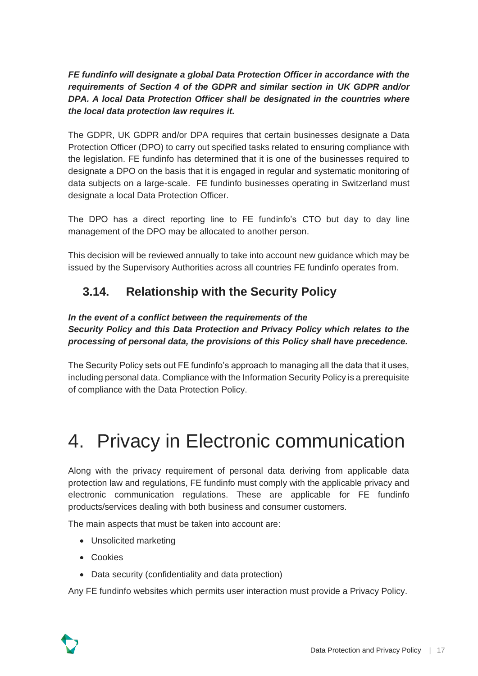*FE fundinfo will designate a global Data Protection Officer in accordance with the requirements of Section 4 of the GDPR and similar section in UK GDPR and/or DPA. A local Data Protection Officer shall be designated in the countries where the local data protection law requires it.*

The GDPR, UK GDPR and/or DPA requires that certain businesses designate a Data Protection Officer (DPO) to carry out specified tasks related to ensuring compliance with the legislation. FE fundinfo has determined that it is one of the businesses required to designate a DPO on the basis that it is engaged in regular and systematic monitoring of data subjects on a large-scale. FE fundinfo businesses operating in Switzerland must designate a local Data Protection Officer.

The DPO has a direct reporting line to FE fundinfo's CTO but day to day line management of the DPO may be allocated to another person.

This decision will be reviewed annually to take into account new guidance which may be issued by the Supervisory Authorities across all countries FE fundinfo operates from.

#### <span id="page-17-0"></span>**3.14. Relationship with the Security Policy**

#### *In the event of a conflict between the requirements of the Security Policy and this Data Protection and Privacy Policy which relates to the processing of personal data, the provisions of this Policy shall have precedence.*

The Security Policy sets out FE fundinfo's approach to managing all the data that it uses, including personal data. Compliance with the Information Security Policy is a prerequisite of compliance with the Data Protection Policy.

# <span id="page-17-1"></span>4. Privacy in Electronic communication

Along with the privacy requirement of personal data deriving from applicable data protection law and regulations, FE fundinfo must comply with the applicable privacy and electronic communication regulations. These are applicable for FE fundinfo products/services dealing with both business and consumer customers.

The main aspects that must be taken into account are:

- Unsolicited marketing
- Cookies
- Data security (confidentiality and data protection)

Any FE fundinfo websites which permits user interaction must provide a Privacy Policy.

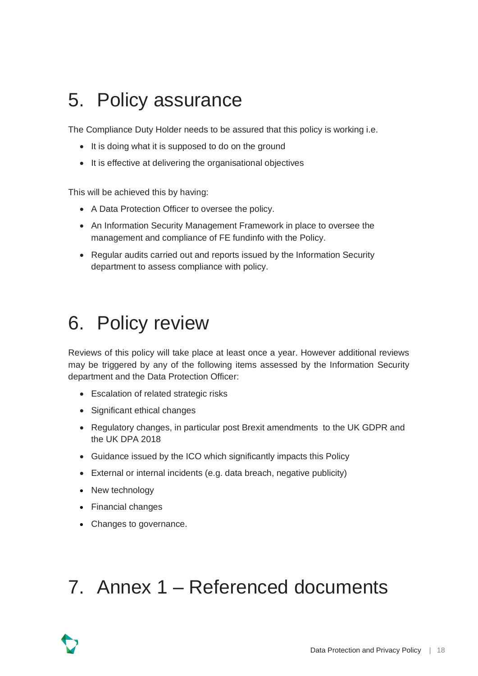## <span id="page-18-0"></span>5. Policy assurance

The Compliance Duty Holder needs to be assured that this policy is working i.e.

- It is doing what it is supposed to do on the ground
- It is effective at delivering the organisational objectives

This will be achieved this by having:

- A Data Protection Officer to oversee the policy.
- An Information Security Management Framework in place to oversee the management and compliance of FE fundinfo with the Policy.
- Regular audits carried out and reports issued by the Information Security department to assess compliance with policy.

## <span id="page-18-1"></span>6. Policy review

Reviews of this policy will take place at least once a year. However additional reviews may be triggered by any of the following items assessed by the Information Security department and the Data Protection Officer:

- Escalation of related strategic risks
- Significant ethical changes
- Regulatory changes, in particular post Brexit amendments to the UK GDPR and the UK DPA 2018
- Guidance issued by the ICO which significantly impacts this Policy
- External or internal incidents (e.g. data breach, negative publicity)
- New technology
- Financial changes
- Changes to governance.

### <span id="page-18-2"></span>7. Annex 1 – Referenced documents

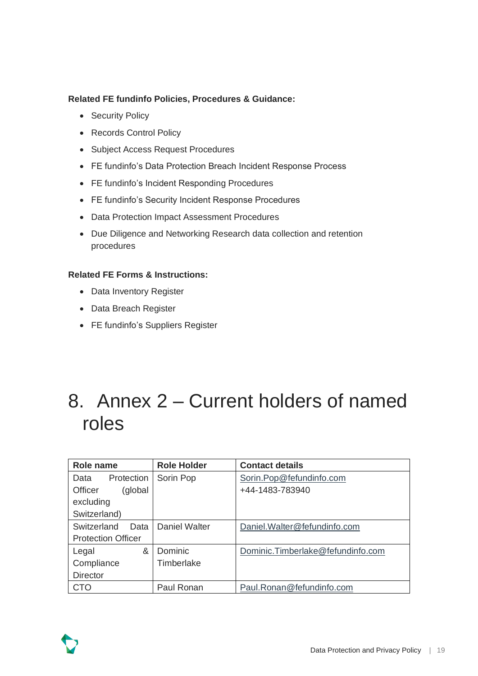#### **Related FE fundinfo Policies, Procedures & Guidance:**

- Security Policy
- Records Control Policy
- Subject Access Request Procedures
- FE fundinfo's Data Protection Breach Incident Response Process
- FE fundinfo's Incident Responding Procedures
- FE fundinfo's Security Incident Response Procedures
- Data Protection Impact Assessment Procedures
- Due Diligence and Networking Research data collection and retention procedures

#### **Related FE Forms & Instructions:**

- Data Inventory Register
- Data Breach Register
- FE fundinfo's Suppliers Register

### <span id="page-19-0"></span>8. Annex 2 – Current holders of named roles

| Role name                 | <b>Role Holder</b> | <b>Contact details</b>            |
|---------------------------|--------------------|-----------------------------------|
| Protection<br>Data        | Sorin Pop          | Sorin.Pop@fefundinfo.com          |
| (global<br><b>Officer</b> |                    | +44-1483-783940                   |
| excluding                 |                    |                                   |
| Switzerland)              |                    |                                   |
| Switzerland<br>Data       | Daniel Walter      | Daniel.Walter@fefundinfo.com      |
| <b>Protection Officer</b> |                    |                                   |
| &<br>Legal                | Dominic            | Dominic.Timberlake@fefundinfo.com |
| Compliance                | Timberlake         |                                   |
| <b>Director</b>           |                    |                                   |
| СТО                       | Paul Ronan         | Paul.Ronan@fefundinfo.com         |